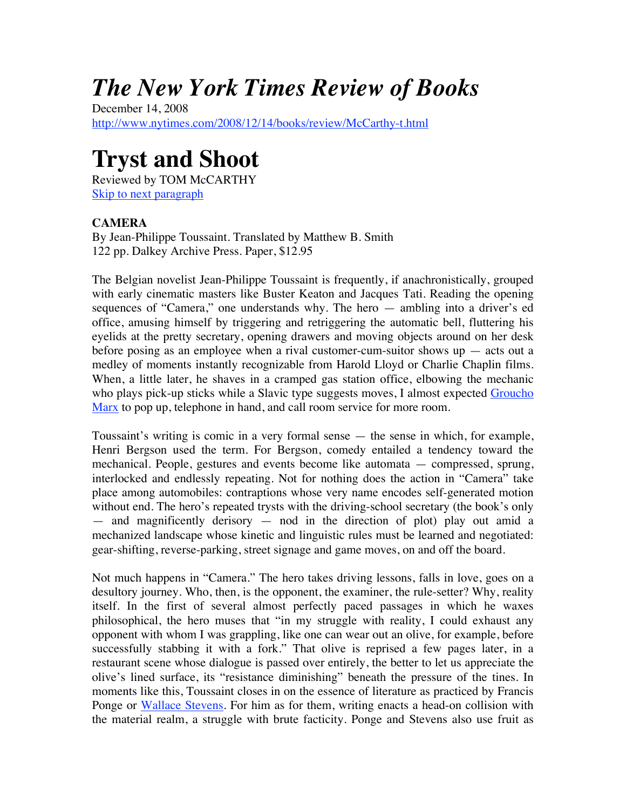## *The New York Times Review of Books*

December 14, 2008 http://www.nytimes.com/2008/12/14/books/review/McCarthy-t.html

## **Tryst and Shoot**

Reviewed by TOM McCARTHY Skip to next paragraph

## **CAMERA**

By Jean-Philippe Toussaint. Translated by Matthew B. Smith 122 pp. Dalkey Archive Press. Paper, \$12.95

The Belgian novelist Jean-Philippe Toussaint is frequently, if anachronistically, grouped with early cinematic masters like Buster Keaton and Jacques Tati. Reading the opening sequences of "Camera," one understands why. The hero — ambling into a driver's ed office, amusing himself by triggering and retriggering the automatic bell, fluttering his eyelids at the pretty secretary, opening drawers and moving objects around on her desk before posing as an employee when a rival customer-cum-suitor shows  $up - acts$  out a medley of moments instantly recognizable from Harold Lloyd or Charlie Chaplin films. When, a little later, he shaves in a cramped gas station office, elbowing the mechanic who plays pick-up sticks while a Slavic type suggests moves, I almost expected Groucho Marx to pop up, telephone in hand, and call room service for more room.

Toussaint's writing is comic in a very formal sense — the sense in which, for example, Henri Bergson used the term. For Bergson, comedy entailed a tendency toward the mechanical. People, gestures and events become like automata — compressed, sprung, interlocked and endlessly repeating. Not for nothing does the action in "Camera" take place among automobiles: contraptions whose very name encodes self-generated motion without end. The hero's repeated trysts with the driving-school secretary (the book's only — and magnificently derisory — nod in the direction of plot) play out amid a mechanized landscape whose kinetic and linguistic rules must be learned and negotiated: gear-shifting, reverse-parking, street signage and game moves, on and off the board.

Not much happens in "Camera." The hero takes driving lessons, falls in love, goes on a desultory journey. Who, then, is the opponent, the examiner, the rule-setter? Why, reality itself. In the first of several almost perfectly paced passages in which he waxes philosophical, the hero muses that "in my struggle with reality, I could exhaust any opponent with whom I was grappling, like one can wear out an olive, for example, before successfully stabbing it with a fork." That olive is reprised a few pages later, in a restaurant scene whose dialogue is passed over entirely, the better to let us appreciate the olive's lined surface, its "resistance diminishing" beneath the pressure of the tines. In moments like this, Toussaint closes in on the essence of literature as practiced by Francis Ponge or Wallace Stevens. For him as for them, writing enacts a head-on collision with the material realm, a struggle with brute facticity. Ponge and Stevens also use fruit as